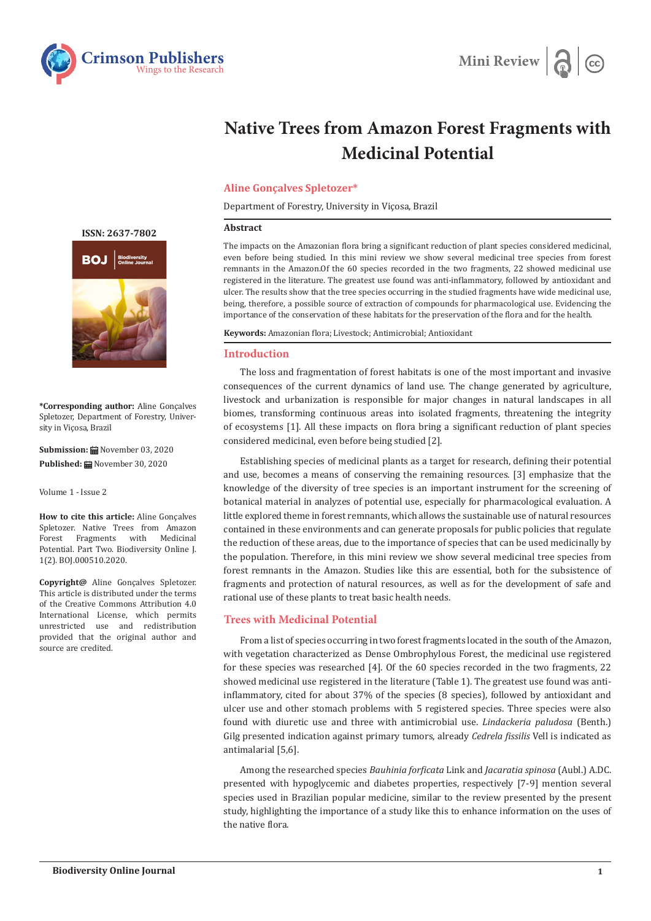



# **Native Trees from Amazon Forest Fragments with Medicinal Potential**

### **Aline Gonçalves Spletozer\***

Department of Forestry, University in Viçosa, Brazil

#### **Abstract**

The impacts on the Amazonian flora bring a significant reduction of plant species considered medicinal, even before being studied. In this mini review we show several medicinal tree species from forest remnants in the Amazon.Of the 60 species recorded in the two fragments, 22 showed medicinal use registered in the literature. The greatest use found was anti-inflammatory, followed by antioxidant and ulcer. The results show that the tree species occurring in the studied fragments have wide medicinal use, being, therefore, a possible source of extraction of compounds for pharmacological use. Evidencing the importance of the conservation of these habitats for the preservation of the flora and for the health.

**Keywords:** Amazonian flora; Livestock; Antimicrobial; Antioxidant

#### **Introduction**

The loss and fragmentation of forest habitats is one of the most important and invasive consequences of the current dynamics of land use. The change generated by agriculture, livestock and urbanization is responsible for major changes in natural landscapes in all biomes, transforming continuous areas into isolated fragments, threatening the integrity of ecosystems [1]. All these impacts on flora bring a significant reduction of plant species considered medicinal, even before being studied [2].

Establishing species of medicinal plants as a target for research, defining their potential and use, becomes a means of conserving the remaining resources. [3] emphasize that the knowledge of the diversity of tree species is an important instrument for the screening of botanical material in analyzes of potential use, especially for pharmacological evaluation. A little explored theme in forest remnants, which allows the sustainable use of natural resources contained in these environments and can generate proposals for public policies that regulate the reduction of these areas, due to the importance of species that can be used medicinally by the population. Therefore, in this mini review we show several medicinal tree species from forest remnants in the Amazon. Studies like this are essential, both for the subsistence of fragments and protection of natural resources, as well as for the development of safe and rational use of these plants to treat basic health needs.

## **Trees with Medicinal Potential**

From a list of species occurring in two forest fragments located in the south of the Amazon, with vegetation characterized as Dense Ombrophylous Forest, the medicinal use registered for these species was researched [4]. Of the 60 species recorded in the two fragments, 22 showed medicinal use registered in the literature (Table 1). The greatest use found was antiinflammatory, cited for about 37% of the species (8 species), followed by antioxidant and ulcer use and other stomach problems with 5 registered species. Three species were also found with diuretic use and three with antimicrobial use. *Lindackeria paludosa* (Benth.) Gilg presented indication against primary tumors, already *Cedrela fissilis* Vell is indicated as antimalarial [5,6].

Among the researched species *Bauhinia forficata* Link and *Jacaratia spinosa* (Aubl.) A.DC. presented with hypoglycemic and diabetes properties, respectively [7-9] mention several species used in Brazilian popular medicine, similar to the review presented by the present study, highlighting the importance of a study like this to enhance information on the uses of the native flora.

**[ISSN: 2637-7802](https://crimsonpublishers.com/boj/)**



**\*Corresponding author:** Aline Gonçalves Spletozer, Department of Forestry, University in Viçosa, Brazil

**Submission:** November 03, 2020 **Published:** November 30, 2020

Volume 1 - Issue 2

**How to cite this article:** Aline Gonçalves Spletozer. Native Trees from Amazon Forest Fragments with Medicinal Potential. Part Two. Biodiversity Online J. 1(2). BOJ.000510.2020.

**Copyright@** Aline Gonçalves Spletozer. This article is distributed under the terms of the Creative Commons Attribution 4.0 International License, which permits unrestricted use and redistribution provided that the original author and source are credited.